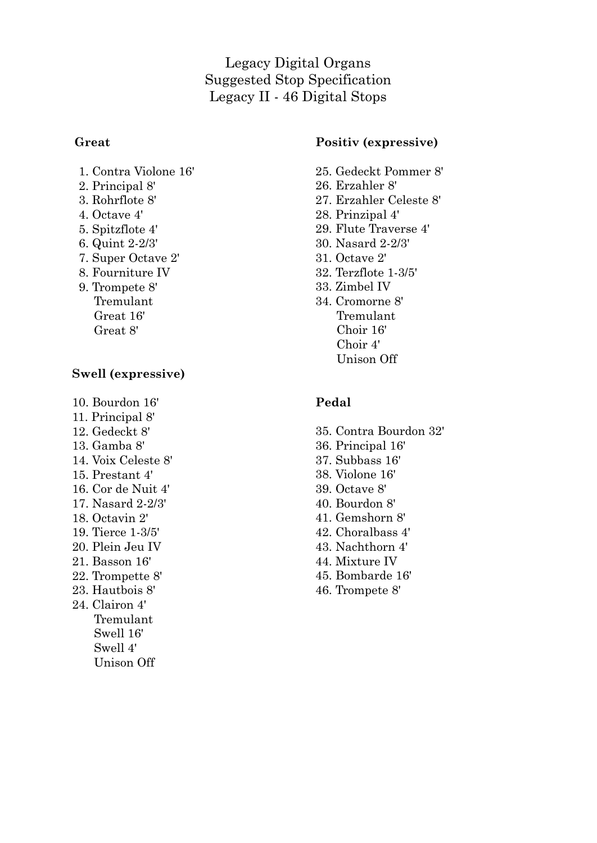Legacy Digital Organs Suggested Stop Specification Legacy II - 46 Digital Stops

#### **Great**

- 1. Contra Violone 16'
- 2. Principal 8'
- 3. Rohrflote 8'
- 4. Octave 4'
- 5. Spitzflote 4'
- 6. Quint 2-2/3'
- 7. Super Octave 2'
- 8. Fourniture IV
- 9. Trompete 8' Tremulant Great 16' Great 8'

#### **Swell (expressive)**

- 10. Bourdon 16'
- 11. Principal 8'
- 12. Gedeckt 8'
- 13. Gamba 8'
- 14. Voix Celeste 8'
- 15. Prestant 4'
- 16. Cor de Nuit 4'
- 17. Nasard 2-2/3'
- 18. Octavin 2'
- 19. Tierce 1-3/5'
- 20. Plein Jeu IV
- 21. Basson 16'
- 22. Trompette 8'
- 23. Hautbois 8'
- 24. Clairon 4' Tremulant Swell 16' Swell 4' Unison Off

## **Positiv (expressive)**

- 25. Gedeckt Pommer 8'
- 26. Erzahler 8'
- 27. Erzahler Celeste 8'
- 28. Prinzipal 4'
- 29. Flute Traverse 4'
- 30. Nasard 2-2/3'
- 31. Octave 2'
- 32. Terzflote 1-3/5'
- 33. Zimbel IV
- 34. Cromorne 8' Tremulant Choir 16' Choir 4' Unison Off

## **Pedal**

- 35. Contra Bourdon 32'
- 36. Principal 16'
- 37. Subbass 16'
- 38. Violone 16'
- 39. Octave 8'
- 40. Bourdon 8'
- 41. Gemshorn 8'
- 42. Choralbass 4'
- 43. Nachthorn 4'
- 44. Mixture IV
- 45. Bombarde 16'
- 46. Trompete 8'